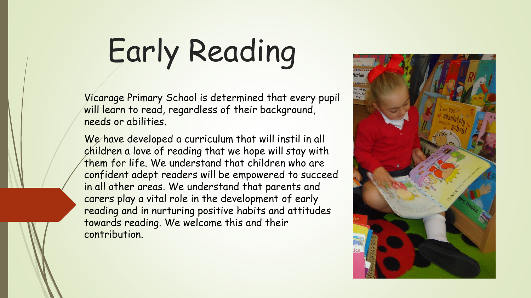# Early Reading

Vicarage Primary School is determined that every pupil will learn to read, regardless of their background, needs or abilities.

We have developed a curriculum that will instil in all children a love of reading that we hope will stay with them for life. We understand that children who are confident adept readers will be empowered to succeed in all other areas. We understand that parents and carers play a vital role in the development of early reading and in nurturing positive habits and attitudes towards reading. We welcome this and their contribution.

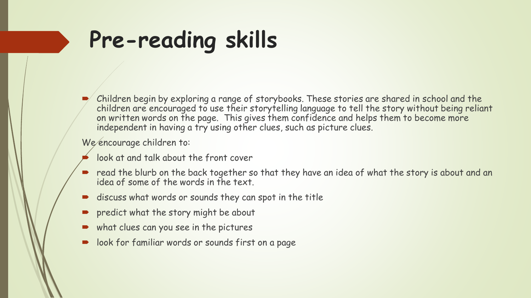## **Pre-reading skills**

 $\blacktriangleright$  Children begin by exploring a range of storybooks. These stories are shared in school and the children are encouraged to use their storytelling language to tell the story without being reliant on written words on the page. This gives them confidence and helps them to become more independent in having a try using other clues, such as picture clues.

We encourage children to:

- look at and talk about the front cover
- read the blurb on the back together so that they have an idea of what the story is about and an idea of some of the words in the text.
- discuss what words or sounds they can spot in the title
- predict what the story might be about
- what clues can you see in the pictures
- look for familiar words or sounds first on a page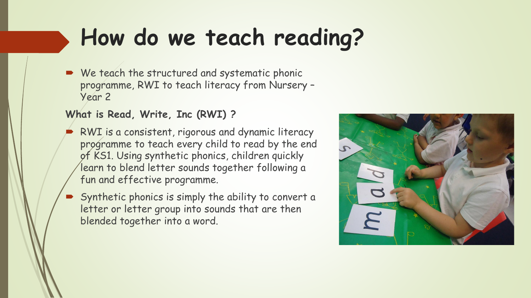We teach the structured and systematic phonic programme, RWI to teach literacy from Nursery – Year 2

#### **What is Read, Write, Inc (RWI) ?**

- RWI is a consistent, rigorous and dynamic literacy programme to teach every child to read by the end of KS1. Using synthetic phonics, children quickly learn to blend letter sounds together following a fun and effective programme.
- Synthetic phonics is simply the ability to convert a letter or letter group into sounds that are then blended together into a word.

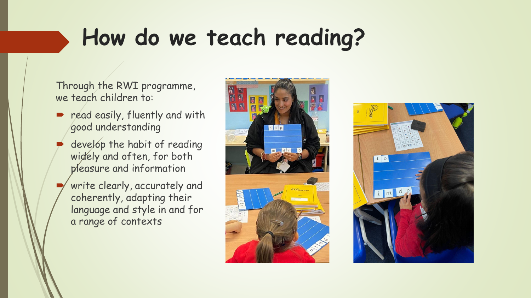Through the RWI programme, we teach children to:

- **P** read easily, fluently and with good understanding
- develop the habit of reading widely and often, for both pleasure and information
- write clearly, accurately and coherently, adapting their language and style in and for a range of contexts



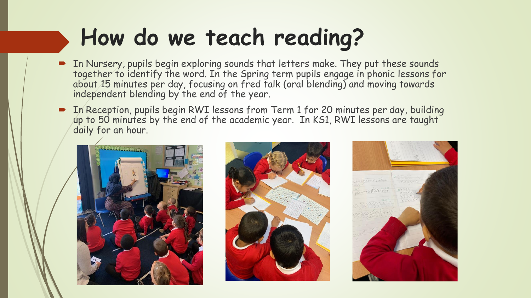- In Nursery, pupils begin exploring sounds that letters make. They put these sounds together to identify the word. In the Spring term pupils engage in phonic lessons for about 15 minutes per day, focusing on fred talk (oral blending) and moving towards independent blending by the end of the year.
- In Reception, pupils begin RWI lessons from Term 1 for 20 minutes per day, building up to 50 minutes by the end of the academic year. In KS1, RWI lessons are taught daily for an hour.





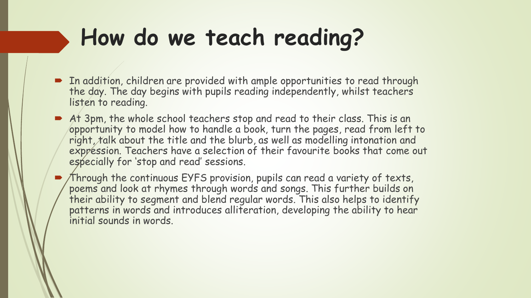- In addition, children are provided with ample opportunities to read through the day. The day begins with pupils reading independently, whilst teachers listen to reading.
- At 3pm, the whole school teachers stop and read to their class. This is an opportunity to model how to handle a book, turn the pages, read from left to right, talk about the title and the blurb, as well as modelling intonation and expression. Teachers have a selection of their favourite books that come out especially for 'stop and read' sessions.

• Through the continuous EYFS provision, pupils can read a variety of texts, poems and look at rhymes through words and songs. This further builds on their ability to segment and blend regular words. This also helps to identify patterns in words and introduces alliteration, developing the ability to hear initial sounds in words.